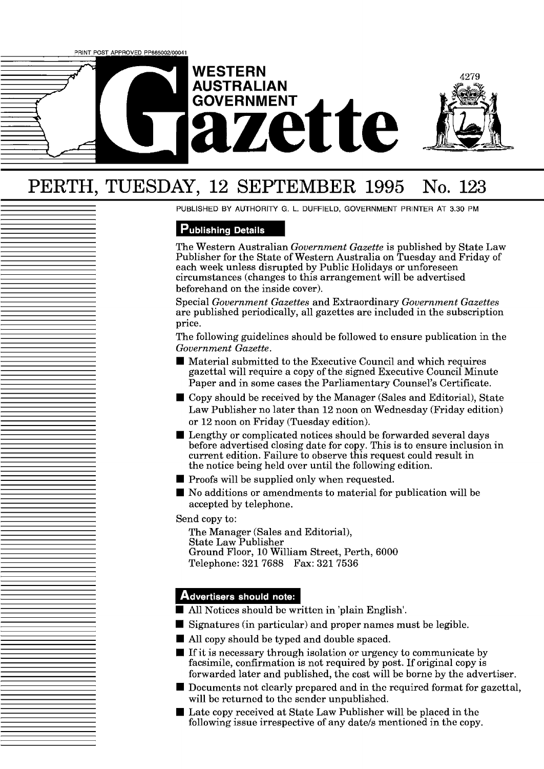

# PERTH, TUESDAY, 12 SEPTEMBER 1995 No. 123

PUBLISHED BY AUTHORITY G. L. DUFFIELD, GOVERNMENT PRINTER AT 3.30 PM

# **Publishing Details**

The Western Australian *Government Gazette* is published by State Law Publisher for the State of Western Australia on Tuesday and Friday of each week unless disrupted by Public Holidays or unforeseen circumstances (changes to this arrangement will be advertised beforehand on the inside cover).

Special *Government Gazettes* and Extraordinary *Government Gazettes*  are published periodically, all gazettes are included in the subscription price.

The following guidelines should be followed to ensure publication in the *Government Gazette.* 

- Material submitted to the Executive Council and which requires gazettal will require a copy of the signed Executive Council Minute Paper and in some cases the Parliamentary Counsel's Certificate.
- Copy should be received by the Manager (Sales and Editorial), State Law Publisher no later than 12 noon on Wednesday (Friday edition) or 12 noon on Friday (Tuesday edition).
- Lengthy or complicated notices should be forwarded several days before advertised closing date for copy. This is to ensure inclusion in current edition. Failure to observe this request could result in the notice being held over until the following edition.
- $\blacksquare$  Proofs will be supplied only when requested.
- No additions or amendments to material for publication will be accepted by telephone.

Send copy to:

The Manager (Sales and Editorial), State Law Publisher Ground Floor, 10 William Street, Perth, 6000 Telephone: 321 7688 Fax: 321 7536

# Advertisers should note:

- All Notices should bc written in 'plain English'.
- $\blacksquare$  Signatures (in particular) and proper names must be legible.
- All copy should be typed and double spaced.
- $\blacksquare$  If it is necessary through isolation or urgency to communicate by facsimile, confirmation is not required by post. If original copy is forwarded later and published, the cost will be borne by the advertiser.
- $\blacksquare$  Documents not clearly prepared and in the required format for gazettal, will be returned to the sender unpublished.
- $\blacksquare$  Late copy received at State Law Publisher will be placed in the following issue irrespective of any date/s mentioned in the copy.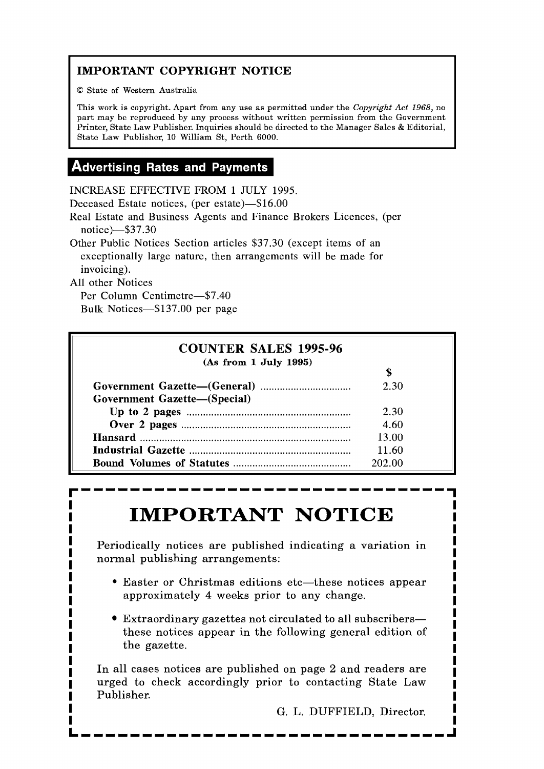# **IMPORTANT COPYRIGHT NOTICE**

O State of Western Australia

This work is copyright. Apart from any use as permitted under the **Copyright** *Act* 1968, no part may be reproduced by any process without written permission from the Government Printer, State Law Publisher. Inquiries should be directed to the Manager Sales & Editorial, Stato Law Publishor, 10 William St, Perth 6000.

# **Advertising Rates and Payments**

INCREASE EFFECTIVE FROM 1 JULY 1995.

Deceased Estate notices, (per estate)-\$16.00

Real Estate and Business Agents and Finance Brokers Licences, (per notice)-\$37.30

Other Public Notices Section articles \$37.30 (except items of an exceptionally large nature, then arrangements will be made for invoicing).

All other Notices

Per Column Centimetre-\$7.40 Bulk Notices-\$137.00 per page

| <b>COUNTER SALES 1995-96</b>        |        |  |
|-------------------------------------|--------|--|
| (As from 1 July 1995)               | \$     |  |
| <b>Government Gazette-(Special)</b> | 2.30   |  |
|                                     | 2.30   |  |
|                                     | 4.60   |  |
|                                     | 13.00  |  |
|                                     | 11.60  |  |
|                                     | 202.00 |  |

# **IMPORTANT NOTICE**

Periodically notices are published indicating a variation in normal publishing arrangements:

- Easter or Christmas editions etc—these notices appear approximately 4 weeks prior to any change.
- Extraordinary gazettes not circulated to all subscribersthese notices appear in the following general edition of the gazette.

In all cases notices are published on page 2 and readers are urged to check accordingly prior to contacting State Law Publisher.

G. L. DUFFIELD, Director.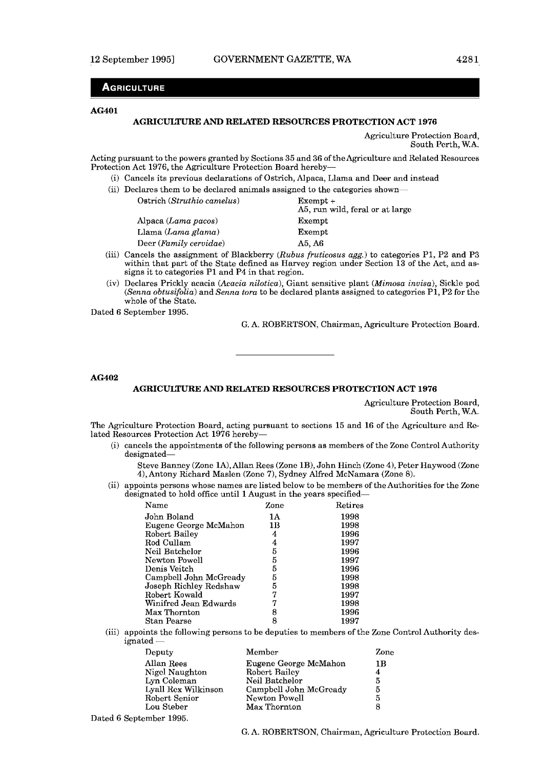# **AGRICULTURE**

# **AG4O 1**

### **AGRICULTURE AND RELATED RESOURCES PROTECTION ACT 1976**

Agriculture Protection Board, South Pcrth, W.A.

Acting pursuant to the powers granted by Sections 35 and 36 of the Agriculture and Related Resources Protection Act 1976, the Agriculture Protection Board hereby-

- (i) Cancels its previous declarations of Ostrich, Alpaca, Llama and Deer and instead
- (ii) Declares them to be declared animals assigned to the categories shown-Ostrich (Struthio camelus) Exempt +

|                           | A5, run wild, feral or at large |
|---------------------------|---------------------------------|
| Alpaca $(Lama\,\, pacos)$ | Exempt                          |
| Llama $(Lama \; glama)$   | Exempt                          |
| Deer $(Family\,cervidae)$ | A5. A6                          |
|                           |                                 |

- (iii) Cancels the assignment of Blackberry (Rubus fruticosus agg.) to categories PI, P2 and **P3**  within that part of the State defined as Harvey region under Section 13 of the Act, and assigns it to categories P1 and P4 in that region.
- (iv) Declares Prickly acacia (Acacia nilotica), Giant sensitive plant (Mimosa invisa), Sickle pod (Senna obtusifolia) and Senna tora to be declared plants assigned to categories  $P1$ ,  $P2$  for the whole of the State.

Dated 6 September 1995.

G. A. ROBERTSON, Chairman, Agriculture Protection Board.

**AG402** 

# **AGRICULTURE AND RELATED RESOURCES PROTECTION ACT 1976**

Agriculture Protection Board, South Perth, W.A.

The Agriculture Protection Board, acting pursuant to sections 15 and 16 of the Agriculture and Related Resources Protection Act 1976 hereby-

(i) cancels the appointments of the following persons as members of the Zone Control Authority designated-

Steve Banney (Zone lA), Allan Rees (Zone lB), John Hinch (Zone 4), Peter Haywood (Zone 4), Antony Richard Maslen (Zone 7), Sydney Alfred McNamara (Zone 8).

(ii) appoints persons whose names are listed below to be members of the Authorities for the Zone designated to hold office until 1 August in the years specified-

| Zone | Retires     |
|------|-------------|
| 1Α   | 1998        |
| 1B   | 1998        |
| 4    | 1996        |
| 4    | 1997        |
| 5    | 1996        |
|      | 1997        |
| 5    | 1996        |
|      | 1998        |
|      | 1998        |
| 7    | 1997        |
| 7    | 1998        |
| 8    | 1996        |
| 8    | 1997        |
|      | 5<br>5<br>5 |

(iii) appoints the following persons to be deputies to members of the Zone Control Authority designated -

| Deputy              | Member                 | Zone |
|---------------------|------------------------|------|
| Allan Rees          | Eugene George McMahon  | 1B   |
| Nigel Naughton      | Robert Bailey          | 4    |
| Lyn Coleman         | Neil Batchelor         | 5    |
| Lyall Rex Wilkinson | Campbell John McGready | 5    |
| Robert Senior       | Newton Powell          | 5    |
| Lou Steber          | Max Thornton           | 8    |
|                     |                        |      |

Dated **6** September 1995.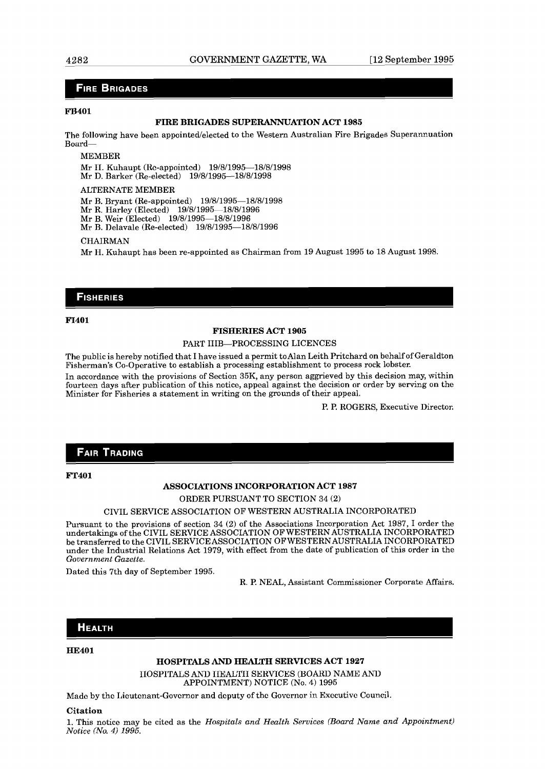# **FIRE BRIGADES**

# **FB401**

# **FIRE BRIGADES SUPERANNUATION ACT 1985**

The following have been appointed/elected to the Western Australian Fire Brigades Superannuation Board-

MEMBER

Mr II. Kuhaupt (Rc-appointed) 19/8/1995-18/8/1998

Mr D. Barker (Re-elected) 19/8/1995-18/8/1998

ALTERNATE MEMBER

Mr B. Bryant (Re-appointed) 19/8/1995-18/8/1998

Mr R. Harley (Elected) 19/8/1995-18/8/1996

Mr B. Weir (Elected) 19/8/1995-18/8/1996

Mr B. Delavale (Re-elected) 19/8/1995-18/8/1996

#### **CHAIRMAN**

Mr H. Kuhaupt has been re-appointed as Chairman from 19 August 1995 to 18 August 1998.

# **FISHERIES**

**F1401** 

# **FISHERIES ACT 1905**

# PART IIIB-PROCESSING LICENCES

The public is hereby notified that I have issued a permit to Alan Leith Pritchard on behalf of Geraldton Fisherman's Co-operative to establish a processing establishment to process rock lobster.

In accordance with the provisions of Section 35K, any person aggrieved by this decision may, within fourteen days after publication of this notice, appeal against the decision or order by serving on the Minister for Fisheries a statement in writing on the grounds of their appeal.

P. P. ROGERS, Executive Director.

# **FAIR TRADING**

# **FT401**

# **ASSOCIATIONS INCORPORATION ACT 1987**

ORDER PURSUANT TO SECTION 34 **(2)** 

# CIVIL SERVICE ASSOCIATION OF WESTERN AUSTRALIA INCORPORATED

Pursuant to the provisions of section 34 (2) of the Associations Incorporation Act 1987, I order the undertakings of the CIVIL SERVICE ASSOCIATION OF WESTERNAUSTRALIA INCORPORATED be transferred to the CIVIL SERVICE ASSOCIATION OF WESTERNAUSTRALIA INCORPORATED under the Industrial Relations Act 1979, with effect from the date of publication of this order in the *Government Gazette.* 

Dated this 7th day of September 1995.

R. P. NEAL, Assistant Commissioner Corporate Affairs.

# **HEALTH**

#### **HE401**

**HOSPITALS AND HEALTH SERVICES ACT 1927** 

IIOSPITALS AND IIEALTII SERVICES (BOARD NAME AND APPOINTMENT) NOTICE (No. 4) 1995

Made by the Lieutenant-Governor and deputy of the Governor in Executive Council.

#### **Citation**

1. This notice may he cited as the *Hospitals and Health Services (Board Name and Appointment) Notice (No.* 4) *1995.*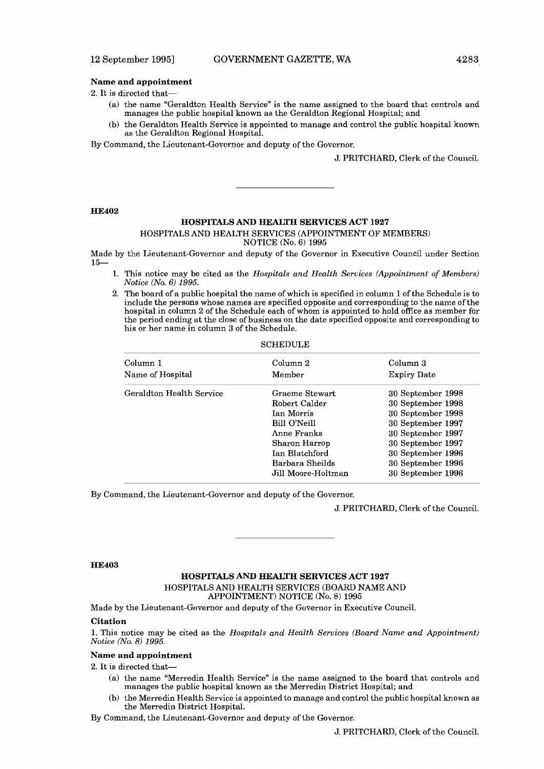# **Name and appointment**

- **2.** It is directed that-
	- (a) the name "Geraldton Health Service" is the name assigned to the board that controls and manages the public hospital known as the Geraldton Regional Hospital; and
	- (b) the Geraldton Health Service is appointed to manage and control the public hospital known as the Geraldton Regional Hospital.

By Command, thc Licutcnant-Govcrnor and dcputy of thc Governor.

**J.** PRITCHARD, Clerk of the Council.

#### **HE402**

# **HOSPITALS AND HEALTH SERVICES ACT 1927**

### HOSPITALS AND HEALTH SERVICES (APPOINTMENT OF MEMBERS) NOTICE (No. 6) 1995

Made by the Lieutenant-Governor and deputy of the Governor in Executive Council under Section 15-

- 1. This notice may be cited as the *Hospitals and Health Services tAppointment of Members) Notice (No. 6) 1995.*
- 2. The board of a public hospital the name of which is specified in column 1 of the Schedule is to include the persons whose names are specified opposite and corresponding to the name of the hospital in column 2 of the Schedule each of whom is appointed to hold office as member for the period ending at the close of business on the date specified opposite and corresponding to his or her name in column **3** of the Schedule.

**SCHEDULE** 

| Column 1                 | Column 2           | Column 3           |
|--------------------------|--------------------|--------------------|
| Name of Hospital         | Member             | <b>Expiry Date</b> |
| Geraldton Health Service | Graeme Stewart     | 30 September 1998  |
|                          | Robert Calder      | 30 September 1998  |
|                          | Ian Morris         | 30 September 1998  |
|                          | Bill O'Neill       | 30 September 1997  |
|                          | Anne Franks        | 30 September 1997  |
|                          | Sharon Harrop      | 30 September 1997  |
|                          | Ian Blatchford     | 30 September 1996  |
|                          | Barbara Sheilds    | 30 September 1996  |
|                          | Jill Moore-Holtman | 30 September 1996  |
|                          |                    |                    |

By Command, the Lieutenant-Governor and deputy of the Governor.

J. PRITCHARD, Clerk of the Council.

### **HE403**

# **HOSPITALS AND HEALTH SERVICES ACT 1927**  HOSPITALS AND HEALTH SERVICES (BOARD NAME AND APPOINTMENT) NOTICE (No. 8) 1995

Made by the Lieutenant-Governor and deputy of the Governor in Executive Council.

# **Citation**

**1.** This notice may be cited as the *Hospitals and Health Services (Board Name and Appointment) Notice (No. 8) 1995.* 

# **Name and appointment**

2. It is directed that-

- (a) the name "Merredin Health Service" is the name assigned to the board that controls and manages the public hospital known as the Merredin District Hospital; and
- (b) the Merredin Health Service is appointed to manage and control the public hospital known as the Merredin District Hospital.

By Command, the Lieutenant-Governor and deputy of'the Governor.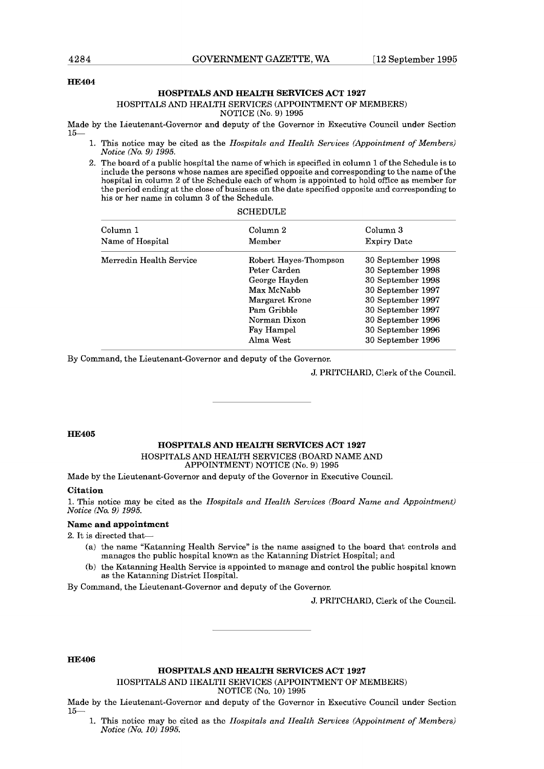# **HE404**

# **HOSPITALS AND HEALTH SERVICES ACT 1927**

# HOSPITALS AND HEALTH SERVICES (APPOINTMENT OF MEMBERS)

NOTICE (No. 9) 1995

Made by the Lieutenant-Governor and deputy of the Governor in Executive Council under Section 15-

SCHEDULE E

- 1. This notice may be cited as the *Hospitals and Health Services (Appointment of Members) Notice (No. 9) 1995.*
- 2. The board of a public hospital the name of which is specified in column 1 of the Schedule is to include the persons whose names are specified opposite and corresponding to the name of the hospital in column 2 of the Schedule each of whom is appointed to hold ofice as member for the period ending at the close of business on the date specified opposite and corresponding to his or her name in column **3** of the Schedule.

| Column 1                | Column 2              | Column 3           |
|-------------------------|-----------------------|--------------------|
| Name of Hospital        | Member                | <b>Expiry Date</b> |
| Merredin Health Service | Robert Hayes-Thompson | 30 September 1998  |
|                         | Peter Carden          | 30 September 1998  |
|                         | George Hayden         | 30 September 1998  |
|                         | Max McNabb            | 30 September 1997  |
|                         | Margaret Krone        | 30 September 1997  |
|                         | Pam Gribble           | 30 September 1997  |
|                         | Norman Dixon          | 30 September 1996  |
|                         | Fay Hampel            | 30 September 1996  |
|                         | Alma West             | 30 September 1996  |
|                         |                       |                    |

By Command, the Lieutenant-Governor and deputy of the Governor.

J. PRITCHARD, Clerk of the Council.

# **HE405**

# **HOSPITALS AND HEALTH SERVICES ACT 1927**

HOSPITALS AND HEALTH SERVICES (BOARD NAME AND APPOINTMENT) NOTICE (No. 9) 1995

Made by the Lieutenant-Governor and deputy of the Governor in Executive Council.

# **Citation**

1. This notice may be cited as the *Hospitals and Health Services (Board Name and Appointment) Notice (No. 9) 1995.* 

# **Name and appointment**

*2.* It is directed that-

- (a) the name "Katanning Health Service" is the name assigned to the board that controls and manages the public hospital known as thc Katanning District Hospital; and
- (b) the Katanning Health Service is appointed to manage and control the public hospital known as the Katanning District Ilospital.

By Command, the Lieutenant-Governor and deputy of the Governor.

J. PRITCHARD, Clerk **of** the Council.

# **HE406**

**HOSPITALS AND HEALTH SERVICES ACT 1927** 

IlOSPlTALS ANI) IIEALrI'II SERVICES (APPOINTMENT OF MEMEEKS)

NOTICE (No. 10) 1995

- Made by the Lieutenant-Governor and deputy of the Governor in Executive Council under Section 15-
	- This notice may be cited as the *IIospitals and IIealth Services (Appointment of Members) Notice {No. 10) 1995.*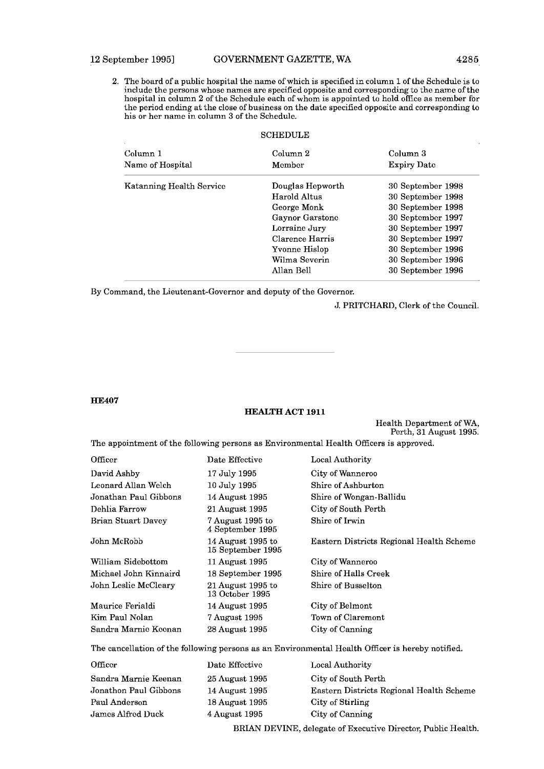2. The board of'a public hospital the name of' which is specified in column 1 ofthe Schedule is to include the persons whose names are specified opposite and corresponding to the name of the hospital in column 2 of'the Schedule each of' whom is appointed to hold office **as** member for the period ending at the close of'business on the date specified opposite and corresponding **to**  his or her name in column **3** of the Schedule.

# **SCHEDULE**

| Column <sub>1</sub><br>Name of Hospital | Column <sub>2</sub><br>Member | Column 3<br><b>Expiry Date</b> |
|-----------------------------------------|-------------------------------|--------------------------------|
| Katanning Health Service                | Douglas Hepworth              | 30 September 1998              |
|                                         | Harold Altus                  | 30 September 1998              |
|                                         | George Monk                   | 30 September 1998              |
|                                         | Gaynor Garstone               | 30 September 1997              |
|                                         | Lorraine Jury                 | 30 September 1997              |
|                                         | Clarence Harris               | 30 September 1997              |
|                                         | Yvonne Hislop                 | 30 September 1996              |
|                                         | Wilma Severin                 | 30 September 1996              |
|                                         | Allan Bell                    | 30 September 1996              |

By Command, the Lieutenant-Governor and deputy of the Governor.

J. PRITCHARD, Clerk of the Council.

# **HE407**

# **HEALTH ACT 1911**

Health Department of WA, Perth, 31 August 1995.

The appointment of the following persons as Environmental Health Officers is approved.

| Date Effective                         | Local Authority                          |
|----------------------------------------|------------------------------------------|
| 17 July 1995                           | City of Wanneroo                         |
| 10 July 1995                           | Shire of Ashburton                       |
| 14 August 1995                         | Shire of Wongan-Ballidu                  |
| 21 August 1995                         | City of South Perth                      |
| 7 August 1995 to<br>4 September 1995   | Shire of Irwin                           |
| 14 August 1995 to<br>15 September 1995 | Eastern Districts Regional Health Scheme |
| 11 August 1995                         | City of Wanneroo                         |
| 18 September 1995                      | Shire of Halls Creek                     |
| $21$ August 1995 to<br>13 October 1995 | Shire of Busselton                       |
| 14 August 1995                         | City of Belmont                          |
| 7 August 1995                          | Town of Claremont                        |
| 28 August 1995                         | City of Canning                          |
|                                        |                                          |

The cancellation of the following persons as an Environmental Health Officer is hereby notified.

| Officer               | Date Effective               | Local Authority                          |
|-----------------------|------------------------------|------------------------------------------|
| Sandra Marnie Keenan  | $25 \,\mathrm{August}\,1995$ | City of South Perth                      |
| Jonathon Paul Gibbons | 14 August 1995               | Eastern Districts Regional Health Scheme |
| Paul Anderson         | 18 August 1995               | City of Stirling                         |
| James Alfred Duck     | 4 August 1995                | City of Canning                          |
|                       |                              |                                          |

RRIAN DEVINE, delegate of Executive Director, Public Health.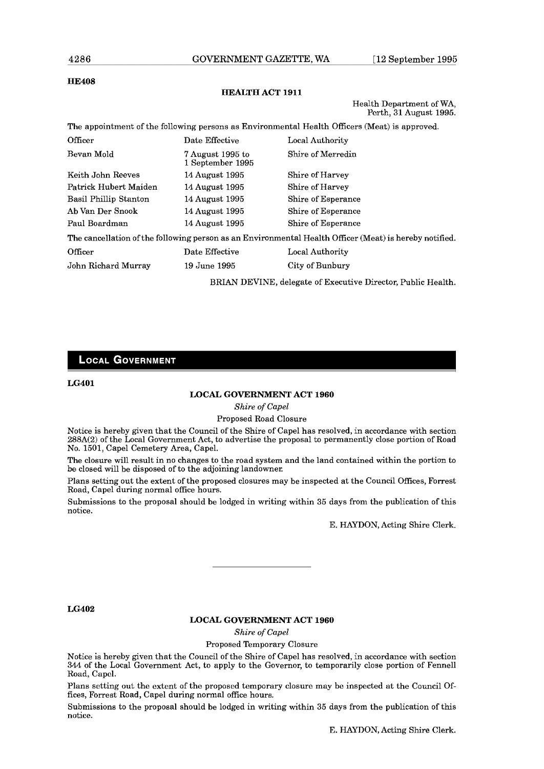# 4286

# **HE408**

# **HEGLTH ACT 1911**

Health Department of WA, Perth, **31** August 1995.

|                       |                                      | The appointment of the following persons as Environmental Health Officers (Meat) is approved.          |
|-----------------------|--------------------------------------|--------------------------------------------------------------------------------------------------------|
| Officer               | Date Effective                       | Local Authority                                                                                        |
| Bevan Mold            | 7 August 1995 to<br>1 September 1995 | Shire of Merredin                                                                                      |
| Keith John Reeves     | 14 August 1995                       | Shire of Harvey                                                                                        |
| Patrick Hubert Maiden | 14 August 1995                       | Shire of Harvey                                                                                        |
| Basil Phillip Stanton | 14 August 1995                       | Shire of Esperance                                                                                     |
| Ab Van Der Snook      | 14 August 1995                       | Shire of Esperance                                                                                     |
| Paul Boardman         | 14 August 1995                       | Shire of Esperance                                                                                     |
|                       |                                      | The cancellation of the following person as an Environmental Health Officer (Meat) is hereby notified. |
| Officer               | Date Effective                       | Local Authority                                                                                        |
| John Richard Murray   | 19 June 1995                         | City of Bunbury                                                                                        |
|                       |                                      |                                                                                                        |

BRIAN DEVINE, delegate of Executive Director, Public Health.

# **LOCAL GOVERNMENT**

**LG401** 

# **LOCAL GOVERNMENT ACT 1960**

*Shire* of *Capel* 

# Proposed Road Closure

Notice is hereby given that the Council of the Shire of Capel has resolved, in accordance with section 288A(2) of the Local Government Act, to advertise the proposal to permanently close portion of Road No. 1501, Capel Cemetery Area, Capel.

The closure will result in no changes to the road system and the land contained within the portion to be closed will be disposed of to the adjoining landowner.

Plans setting out the extent of the proposed closures may be inspected at the Council Offices, Forrest Road, Capel during normal office hours.

Submissions to the proposal should be lodged in writing within 35 days from the publication of this notice.

E. HAYDON, Acting Shire Clerk.

**LG402** 

# **LOCAL GOVERNMENT ACT 1960**

*Shire* of *Capel* 

Proposed Temporary Closure

Notice is hereby given that the Council of the Shire of Capel has resolved, in accordance with section 344 of the Local Government Act, to apply to the Governor, to temporarily close portion of Fennel1 Road, Capcl.

Plans setting out the extent of the proposed temporary closure may be inspected at the Council Offices, Forrest Road, Capel during normal office hours.

Submissions to the proposal should be lodged in writing within 35 days from the publication of this notice.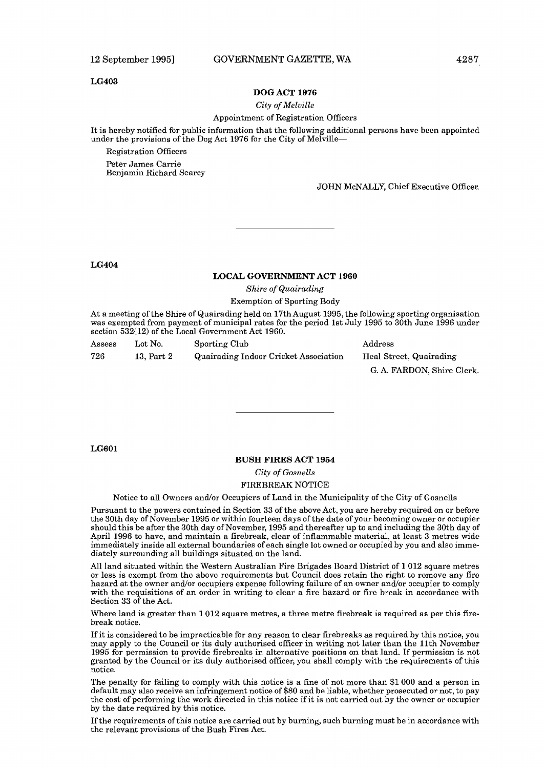#### **LG403**

#### **DOG ACT 1976**

#### *City of Melville*

### Appointment of Registration Officers

It is hcrcby notificd for public information that thc following additional pcrsons havc bccn appointed under the provisions of the Dog Act 1976 for the City of Melville-

Registration Officers

Peter James Carrie Benjamin Richard Searcy

# JOHN McNALLY, Chief Executive Officer.

# **LG404**

# **LOCAL GOVERNMENT ACT 1960**

*Shire of Quairading* 

# Exemption of Sporting Body

At a meeting of the Shire of Quairading held on 17thAugust 1995, the following sporting organisation was exempted from payment of municipal rates for the period 1st July 1995 to 30th June 1996 under section 532(12) of the Local Government Act 1960.

| Assess | Lot No.    | Sporting Club                         | Address                    |
|--------|------------|---------------------------------------|----------------------------|
| 726    | 13. Part 2 | Quairading Indoor Cricket Association | Heal Street, Quairading    |
|        |            |                                       | G. A. FARDON, Shire Clerk. |

**LG601** 

# **BUSH FIRES ACT 1954**

*City of Gosnells* 

# FIREBREAK NOTICE

Notice to all Owners and/or Occupiers of Land in the Municipality of the City of Gosnells

Pursuant to the powers contained in Section 33 of the above Act, you are hereby required on or before the 30th day of November 1995 or within fourteen days of the date of your becoming owner or occupier should this be after the 30th day of November, 1995 and thereafter up to and including the 30th day of April 1996 to have, and maintain a firebreak, clear of inflammable material, at least 3 metres wide immediately inside all external boundaries of each single lot owned or occupied by you and also immediately surrounding all buildings situated on the land.

All land situated within the Western Australian Fire Urigades Hoard District of 1 012 square metres or lcss is cxcmpt from thc abovc rcquircmcnts but Council docs rctain thc right to rcmovc any fire hazard at the owner and/or occupiers expense following failure of an owner and/or occupier to comply with the requisitions of an order in writing to clear a fire hazard or fire break in accordance with Section 33 of the Act.

Where land is greater than 1 012 square metres, a three metre firebreak is required as per this firebreak notice.

If it is considered to be impracticable for any reason to clear firebreaks as required by this notice, you may apply to the Council or its duly authorised officer in writing not later than the 11th November 1995 for permission to provide firebreaks in alternative positions on that land. If permission is not granted by the Council or its duly authorised officer, you shall comply with the requirements of this notice.

The penalty for failing to comply with this notice is a fine of not more than \$1 000 and a person in default may also receive an infringement notice of \$80 and be liable, whether prosecuted or not, to pay the cost of performing the work directed in this notice if it is not carried out by the owner or occupier by the date required by this notice.

If the requirements of this notice are carried out by burning, such burning must be in accordance with the relevant provisions of the Bush Fires Act.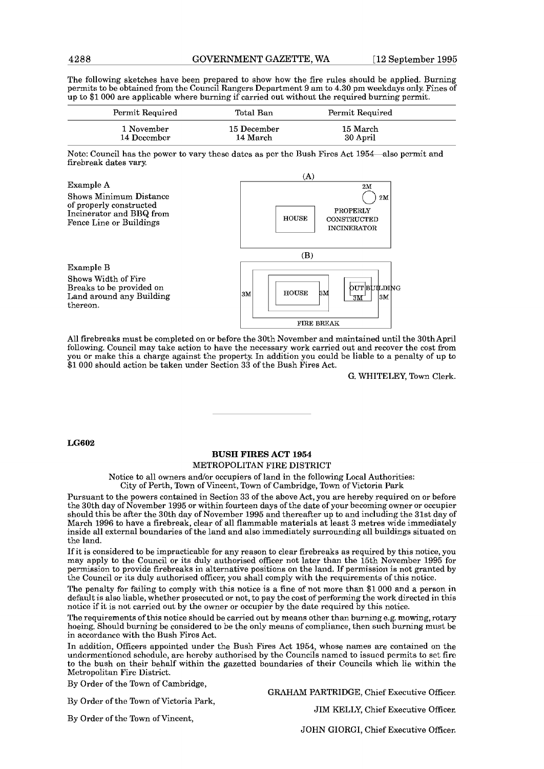The following sketches have been prepared to show how the fire rules should be applied. Burning permits to be obtained from the Council Rangers Department 9 am to 4.30 pm weekdays only. Fines of up to \$1 000 are applicable where burning if carried out without the required burning permit.

| Permit Required | Total Ban   | Permit Required |  |
|-----------------|-------------|-----------------|--|
| 1 November      | 15 December | 15 March        |  |
| 14 December     | 14 March    | 30 April        |  |

Note: Council has the powcr to vary thcsc datcs as pcr thc Rush Fires Act 1954-also permit and firebreak dates vary



All firebreaks must be completed on or before the 30th November and maintained until the 30thApril following. Council may take action to have the necessary work carried out and recover the cost from you or make this a charge against the property. In addition you could be liable to a penalty of up to \$1,000 should action be taken under Section 33 of the Bush Fires Act.

G. WHITELEY, Town Clerk.

# **LG602**

# **BUSH** FIRES **ACT** 1954

# METROPOLITAN FIRE DISTRICT

Notice to all owners and/or occupiers of land in the following Local Authorities: City of Perth, Town of Vincent, Town of Cambridge, Town of Victoria Park

Pursuant to the powers contained in Section 33 of the above Act, you are hereby required on or before the 30th day of November 1995 or within fourteen days of the date of your becoming owner or occupier should this be after the 30th day of November 1995 and thereafter up to and including the 31st day of March 1996 to have a firebreak, clear of all flammable materials at least **3** metres wide immediately inside all external boundaries of the land and also immediately surrounding all buildings situated on the land.

If it is considered to be impracticable for any reason to clear firebreaks as required by this notice, you may apply to the Council or its duly authorised officer not later than the 15th November 1995 for permission to provide firebreaks in alternative positions on the land. If permission is not granted by the Council or its duly authorised officer, you shall comply with the requirements of this notice.

The penalty for failing to comply with this notice is a fine of not more than \$1 000 and **a** person in default is also liable, whether prosecuted or not, to pay the cost of performing the work directed in this notice if it is not carried out by the owner or occupier by the date required by this notice.

The requirements of this notice should be carried out by means other than burning e.g. mowing, rotary hoeing. Should burning be considered to be the only means of compliance, then such burning must be in accordance with thc Bush Fircs Act.

In addition, Officers appointed under the Bush Fires Act 1954, whose names are contained on the undcrmcntioncd schcdulc, arc hcrcby authorised by thc Councils namcd to issued permits **to** set firc to the bush on their behalf within the gazetted boundaries of their Councils which lie within the Metropolitan Fire District.

By Order of the Town of Cambridge,

**13y** Order of the Town of Victoria Park,

GRAHAM PARTRIDGE, Chief Executive Officer.

By Order of the Town of Vincent,

JIM KELLY, Chief Executive Officer.

JOHN GIORGI, Chief Executive Officer.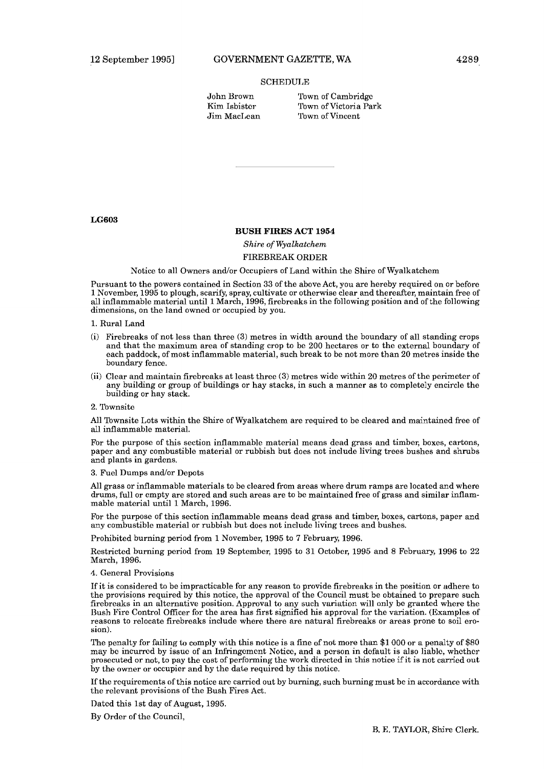# **SCHEDULE**

| John Brown   |
|--------------|
| Kim Isbister |
| Jim MacLean  |

Town of Cambridge Town of Victoria Park Town of Vincent

**LG603** 

# **BUSH FIRES ACT 1954**

Shire of *Wyalkatchem*  FIREBREAK ORDER

Notice to all Owners and/or Occupiers of Land within the Shire of Wyalkatchem

Pursuant to the powers contained in Section **33** of the above Act, you are hereby required on or before 1 November, 1995 to plough, scarify, spray, cultivate or otherwise clear and thereafter, maintain free of all inflammable material until 1 March, 1996, firebreaks in the following position and of the following dimensions, on the land owned or occupied by you.

1. Rural Land

- (i) Firebreaks of not less than three **(3)** metres in width around the boundary of all standing crops and that the maximum area of standing crop to be 200 hectares or to the external boundary of each paddock, of most inflammable material, such break to be not more than 20 metres inside the boundary fence.
- (ii) Clear and maintain firebreaks at least three **(3)** metres wide within 20 metres of the perimeter of any building or group of buildings or hay stacks, in such a manner as to completely encircle the building or hay stack.

#### 2. Townsite

All Townsite Lots within the Shire of Wyalkatchem are required to be cleared and maintained free of all inflammable material.

For the purpose of this section inflammable material means dead grass and timber, boxes, cartons, paper and any combustible material or rubbish but does not include living trees bushes and shrubs and plants in gardens.

# 3. Fuel Dumps and/or Depots

All grass or inflammable materials to be cleared from areas where drum ramps are located and where drums, full or empty are stored and such areas are to be maintained free of grass and similar inflammable material until 1 March, 1996.

For the purpose of this section inflammable means dead grass and timber, boxes, cartons, paper and any combustible material or rubbish but does not include living trees and bushes.

Prohibited burning period from l November, 1995 to 7 February, 1996.

Restricted burning period from 19 September, 1995 to 31 October, 1995 and 8 February, 1996 to 22 March, 1996.

# 4. General Provisions

If it is considered to be impracticable for any reason to provide firebreaks in the position or adhere to the provisions required by this notice, the approval of the Council must be obtained to prepare such firebreaks in an alternative position. Approval to any such variation will only be granted where the Bush Fire Control Officer for the area has first signified his approval for the variation. (Examples of reasons to relocate firebreaks include where there are natural firebreaks or areas prone to soil erosion).

The penalty for failing to comply with this notice is **a** fine of not more than \$1 000 or a penalty oi'\$80 may bc incurrcd by issuc of an Infringcmcnt Noticc, and a pcrson in dofault is also liablc, whcthcr prosecuted or not, to pay the cost of performing the work directed in this notice if it is not carried out by the owner or occupier and by the date required by this notice.

If the requirements of this notice are carried out by burning, such burning must be in accordance with the relevant provisions of the Bush Fires Act.

Dated this 1st day of August, 1995.

By Order of the Council,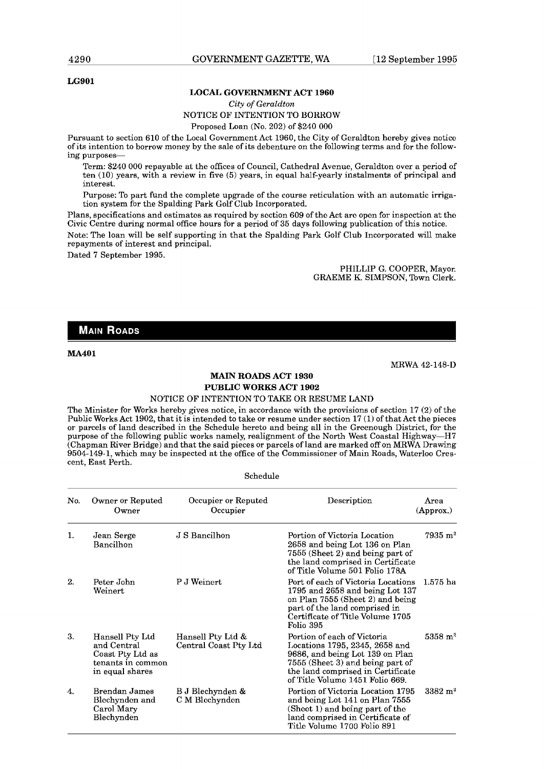# **LG901**

#### **LOCAL GOVERNMENT ACT 1960**

# City of *Geraldton*  NOTICE OF INTENTION TO BORROW

Proposed Loan (No. 202) of \$240 000

Pursuant to section 610 of the Local Government Act 1960, the City of Geraldton hereby gives notice of its intention to borrow money by the sale of its debenture on the following terms and for the following purposes-

Term: \$240 000 repayable at the offices of Council, Cathedral Avenue, Geraldton over a period of ten (10) years, with a review in five (5) years, in equal half-yearly instalments of principal and interest.

Purpose: To part fund the complete upgrade of the course reticulation with an automatic irrigation system for the Spalding Park Golf Club Incorporated.

Plans, specifications and estimates as required by section 609 of the Act are open for inspection at the Civic Centre during normal office hours for a period of 35 days following publication of this notice.

Note: The loan will be self supporting in that the Spalding Park Golf Club Incorporated will make repayments of interest and principal.

Dated 7 September 1995.

PHILLIP G. COOPER, Mayor. GRAEME K. SIMPSON, Town Clerk.

# **MAIN ROADS**

# **MA401**

MRWA 42-148-D

# **MAIN ROADS ACT 1930 PUBLIC WORKS ACT 1902**

#### NOTICE OF INTENTION TO TAKE OR RESUME LAND

The Minister for Works hereby gives notice, in accordance with the provisions of section 17 (2) of the Public Works Act 1902, that it is intended to take or resume under section 17 (1) of that Act the pieces or parcels of land described in the Schedule hereto and being all in the Greenough District, for the purpose of the following public works namely, realignment of the North West Coastal Highway-H7 (Chapman River Bridge) and that the said pieces or parcels of land are marked off on MRWA Drawing 9504-149-1, which may be inspected at the office of the Commissioner of Main Roads, Waterloo Crescent, East Perth.

Schedule

| No. | Owner or Reputed<br>Owner                                                                  | Occupier or Reputed<br>Occupier            | Description                                                                                                                                                                                                  | Area<br>(Approx.)      |
|-----|--------------------------------------------------------------------------------------------|--------------------------------------------|--------------------------------------------------------------------------------------------------------------------------------------------------------------------------------------------------------------|------------------------|
| 1.  | Jean Serge<br>Bancilhon                                                                    | J S Bancilhon                              | Portion of Victoria Location<br>2658 and being Lot 136 on Plan<br>7555 (Sheet 2) and being part of<br>the land comprised in Certificate<br>of Title Volume 501 Folio 178A                                    | $7935 \; \mathrm{m}^2$ |
| 2.  | Peter John<br>Weinert                                                                      | P J Weinert                                | Port of each of Victoria Locations<br>1795 and $2658$ and being Lot 137<br>on Plan 7555 (Sheet 2) and being<br>part of the land comprised in<br>Certificate of Title Volume 1705<br>Folio 395                | 1.575 ha               |
| З.  | Hansell Pty Ltd<br>and Central<br>Coast Pty Ltd as<br>tenants in common<br>in equal shares | Hansell Pty Ltd &<br>Central Coast Pty Ltd | Portion of each of Victoria<br>Locations 1795, 2345, 2658 and<br>9686, and being Lot 139 on Plan<br>7555 (Sheet 3) and being part of<br>the land comprised in Certificate<br>of Title Volume 1451 Folio 669. | $5358 \; \mathrm{m}^2$ |
| 4.  | Brendan James<br>Blechynden and<br>Carol Mary<br>Blechynden                                | B J Blechynden &<br>C M Blechynden         | Portion of Victoria Location 1795<br>and being Lot 141 on Plan 7555<br>(Sheet 1) and being part of the<br>land comprised in Certificate of<br>Title Volume 1700 Folio 891                                    | $3382 \; \mathrm{m}^2$ |

# 4290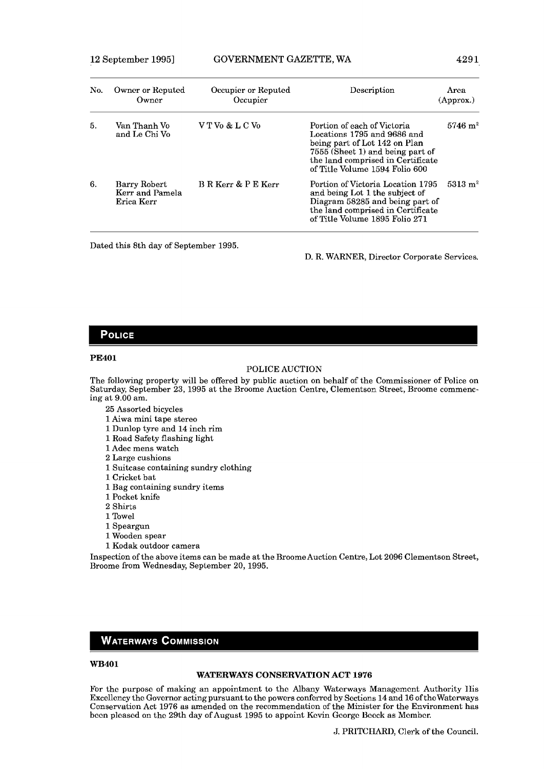| No. | Owner or Reputed<br>Owner                     | Occupier or Reputed<br>Occupier | Description                                                                                                                                                                                            | Area<br>(Approx.)  |
|-----|-----------------------------------------------|---------------------------------|--------------------------------------------------------------------------------------------------------------------------------------------------------------------------------------------------------|--------------------|
| 5.  | Van Thanh Vo<br>and Le Chi Vo                 | V T Vo & L C Vo                 | Portion of each of Victoria<br>Locations 1795 and 9686 and<br>being part of Lot 142 on Plan<br>7555 (Sheet 1) and being part of<br>the land comprised in Certificate<br>of Title Volume 1594 Folio 600 | $5746 \text{ m}^2$ |
| 6.  | Barry Robert<br>Kerr and Pamela<br>Erica Kerr | B R Kerr & P E Kerr             | Portion of Victoria Location 1795<br>and being Lot 1 the subject of<br>Diagram 58285 and being part of<br>the land comprised in Certificate<br>of Title Volume 1895 Folio 271                          | $5313 \text{ m}^2$ |

Dated this 8th day of September 1995.

D. R. WARNER, Director Corporate Services.

# **POLICE**

# **PE401**

# POLICE AUCTION

The following property will be offered by public auction on behalf of the Commissioner of Police on Saturday, September 23, 1995 at the Broome Auction Centre, Clementson Street, Broome commencing at 9.00 am.

- 25 Assorted bicycles
- 1 Aiwa mini tape stereo
- 1 Dunlop tyre and 14 inch rim
- 1 Road Safety flashing light
- 1 Adec mens watch
- 2 Large cushions
- 1 Suitcase containing sundry clothing
- 1 Cricket bat
- 1 Bag containing sundry items
- 1 Pocket knife
- 2 Shirts
- 1 Towel
- 1 Speargun
- 1 Wooden spear
- 1 Kodak outdoor camera

Inspection of the above items can be made at the Broome Auction Centre, Lot 2096 Clementson Street, Broome from Wednesday, September 20,1995.

# **WATERWAYS COMMISSION**

# **WB401**

#### **WATERWAYS CONSERVATION ACT 1976**

For the purpose of making an appointment to the Albany Watcrways Management Authority Ilis Excellency the Governor acting pursuant to the powers conferred by Sections 14 and 16 of the Waterways Conservation Act 1976 as amended on the recommendation of the Minister for the Environment has boon pleased on the 29th day of August 1995 to appoint Kevin Goorgo Ucock as Member.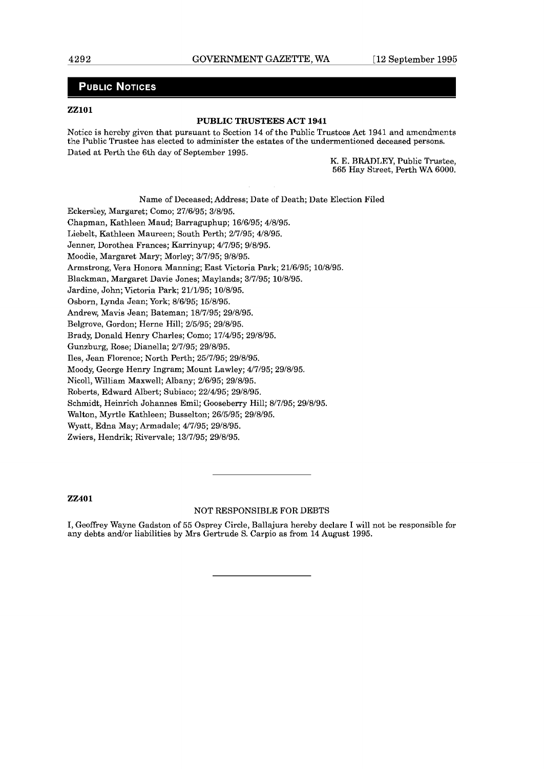# **PUBLIC NOTICES**

# **ZZ101**

# **PUBLIC TRUSTEES ACT 1941**

Noticc is hcrcby gjvcn that pursuant to Scction **14** of thc Public Trustccs Act 1941 and arncndmcnts the Public Trustee has elected to administer the estates of the undermentioned deceased persons. Dated at Perth the 6th day of September 1995.

K. E. BRADLEY, Public Trustee, 565 Hay Street, Perth WA 6000.

Name of Deceased; Address; Date of Death; Date Election Filed Eckersley, Margaret; Como; 27/6/95; 3/8/95. Chapman, Kathleen Maud; Barraguphup; 16/6/95; 4/8/95. Liebelt, Kathleen Maureen; South Perth; 2/7/95; 4/8/95. Jenner, Dorothea Frances; Karrinyup; 4/7/95; 9/8/95. Moodie, Margaret Mary; Morley; 3/7/95; 9/8/95. Armstrong, Vera Honora Manning; East Victoria Park; 21/6/95; 10/8/95. Blackman, Margaret Davie Jones; Maylands; 3/7/95; 10/8/95. Jardine, John; Victoria Park; 21/1/95; 10/8/95. Osborn, Lynda Jean; York; 8/6/95; 15/8/95. Andrew, Mavis Jean; Bateman; 18/7/95; 29/8/95. Belgrove, Gordon; Herne Hill; 2/5/95; 29/8/95. Brady, Donald Henry Charles; Como; 17/4/95; 29/8/95. Gunzburg, Rose; Dianella; 2/7/95; 29/8/95. Iles, Jean Florence; North Perth; 25/7/95; 29/8/95. Moody, George Henry Ingram; Mount Lawley; 4/7/95; 29/8/95. Nicoll, William Maxwell; Albany; 2/6/95; 29/8/95. Roberts, Edward Albert; Subiaco; 22/4/95; 29/8/95. Schmidt, Heinrich Johannes Emil; Gooseberry Hill; 8/7/95; 29/8/95.

Walton, Myrtle Kathleen; Busselton; 26/5/95; 29/8/95.

Wyatt, Edna May; Armadale; 4/7/95; 29/8/95.

Zwiers, Hendrik; Rivervale; 13/7/95; 29/8/95.

# **22401**

# NOT RESPONSIBLE FOR DEBTS

I, Geoffrey Wayne Gadston of 55 Osprey Circle, Ballajura hereby declare I will not be responsible for any debts and/or liabilities by Mrs Gertrude S. Carpio as from 14 August 1995.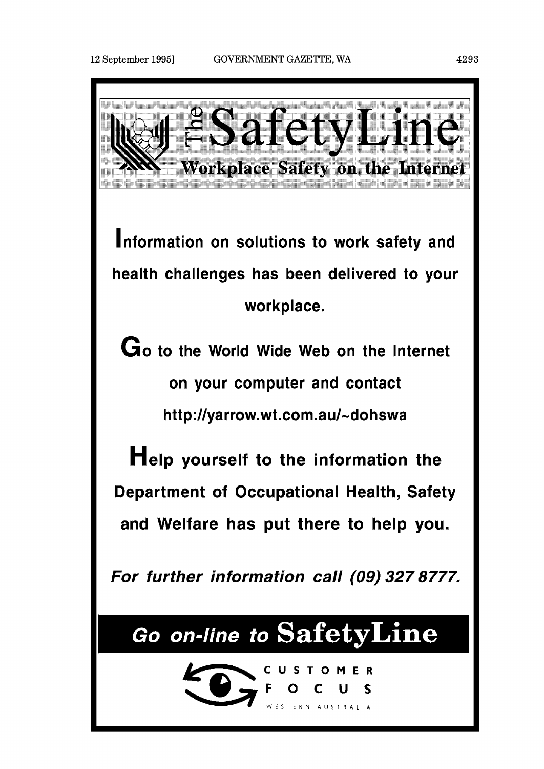